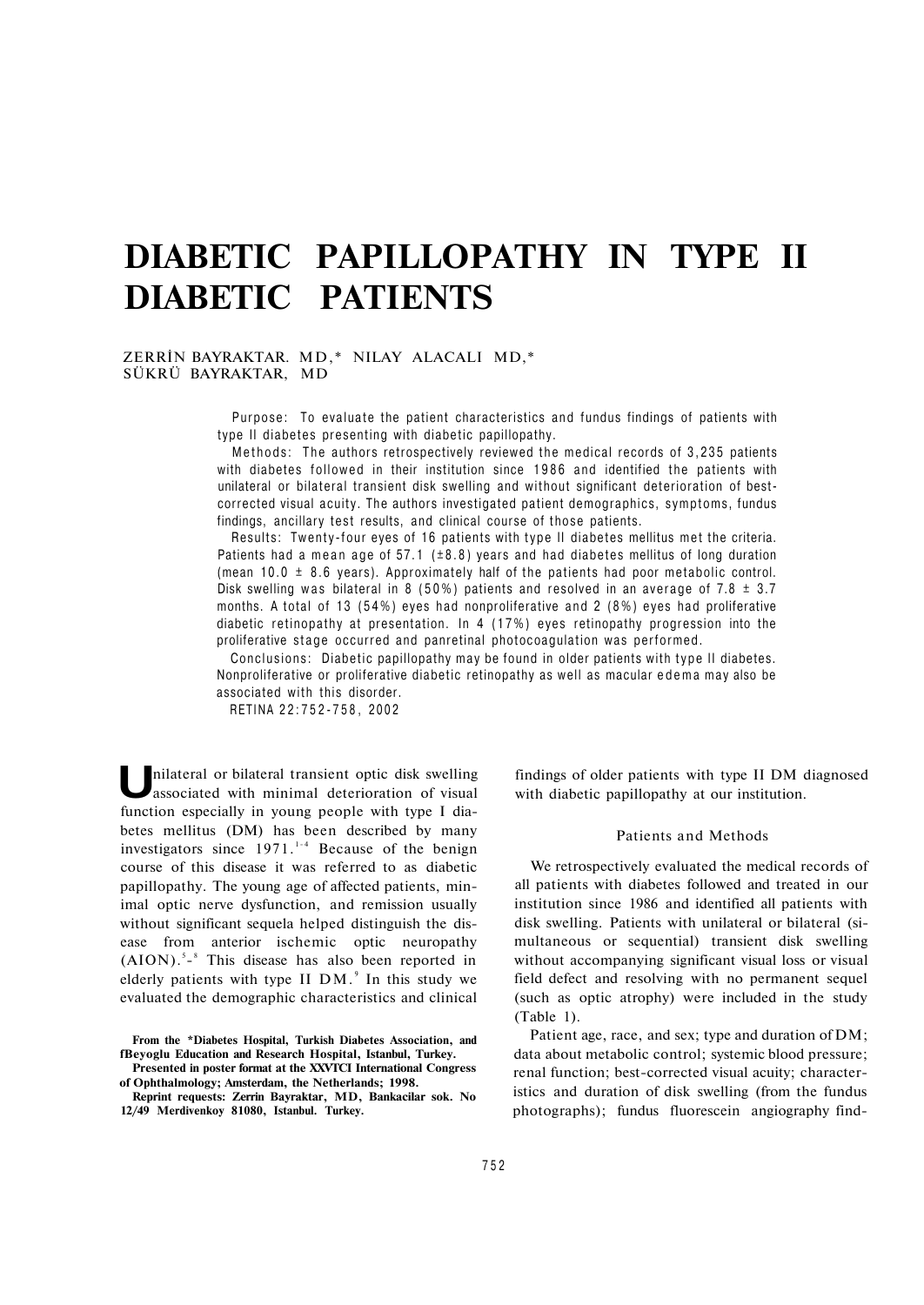# **DIABETIC PAPILLOPATHY IN TYPE II DIABETIC PATIENTS**

# ZERRİN BAYRAKTAR. MD,\* NILAY ALACALI MD,\* SÜKRÜ BAYRAKTAR, MD

**Purpose: To evaluate the patient characteristics and fundus findings of patients with type II diabetes presenting with diabetic papillopathy.** 

**Methods: The authors retrospectively reviewed the medical records of 3,235 patients with diabetes followed in their institution since 1986 and identified the patients with unilateral or bilateral transient disk swelling and without significant deterioration of bestcorrected visual acuity. The authors investigated patient demographics, symptoms, fundus findings, ancillary test results, and clinical course of those patients.** 

**Results: Twenty-four eyes of 16 patients with type II diabetes mellitus met the criteria. Patients had a mean age of 57.1 (±8.8) years and had diabetes mellitus of long duration (mean 10.0 ± 8.6 years). Approximately half of the patients had poor metabolic control. Disk swelling was bilateral in 8 (50%) patients and resolved in an average of 7.8 ± 3.7 months. A total of 13 (54%) eyes had nonproliferative and 2 (8%) eyes had proliferative diabetic retinopathy at presentation. In 4 (17%) eyes retinopathy progression into the proliferative stage occurred and panretinal photocoagulation was performed.** 

**Conclusions: Diabetic papillopathy may be found in older patients with type II diabetes. Nonproliferative or proliferative diabetic retinopathy as well as macular edema may also be associated with this disorder.** 

**RETINA 22:752-758 , 2002** 

**U** nilateral or bilateral transient optic disk swelling associated with minimal deterioration of visual function especially in young people with type I diabetes mellitus (DM) has been described by many investigators since  $1971$ .<sup>1-4</sup> Because of the benign course of this disease it was referred to as diabetic papillopathy. The young age of affected patients, minimal optic nerve dysfunction, and remission usually without significant sequela helped distinguish the disease from anterior ischemic optic neuropathy  $(AION)$ .<sup>5</sup>-<sup>8</sup> This disease has also been reported in elderly patients with type II  $DM.^9$  In this study we evaluated the demographic characteristics and clinical

findings of older patients with type II DM diagnosed with diabetic papillopathy at our institution.

#### Patients and Methods

We retrospectively evaluated the medical records of all patients with diabetes followed and treated in our institution since 1986 and identified all patients with disk swelling. Patients with unilateral or bilateral (simultaneous or sequential) transient disk swelling without accompanying significant visual loss or visual field defect and resolving with no permanent sequel (such as optic atrophy) were included in the study (Table 1).

Patient age, race, and sex; type and duration of DM; data about metabolic control; systemic blood pressure; renal function; best-corrected visual acuity; characteristics and duration of disk swelling (from the fundus photographs); fundus fluorescein angiography find-

**From the \*Diabetes Hospital, Turkish Diabetes Association, and fBeyoglu Education and Research Hospital, Istanbul, Turkey. Presented in poster format at the XXVTCI International Congress** 

**of Ophthalmology; Amsterdam, the Netherlands; 1998.** 

**Reprint requests: Zerrin Bayraktar, MD, Bankacilar sok. No 12/49 Merdivenkoy 81080, Istanbul. Turkey.**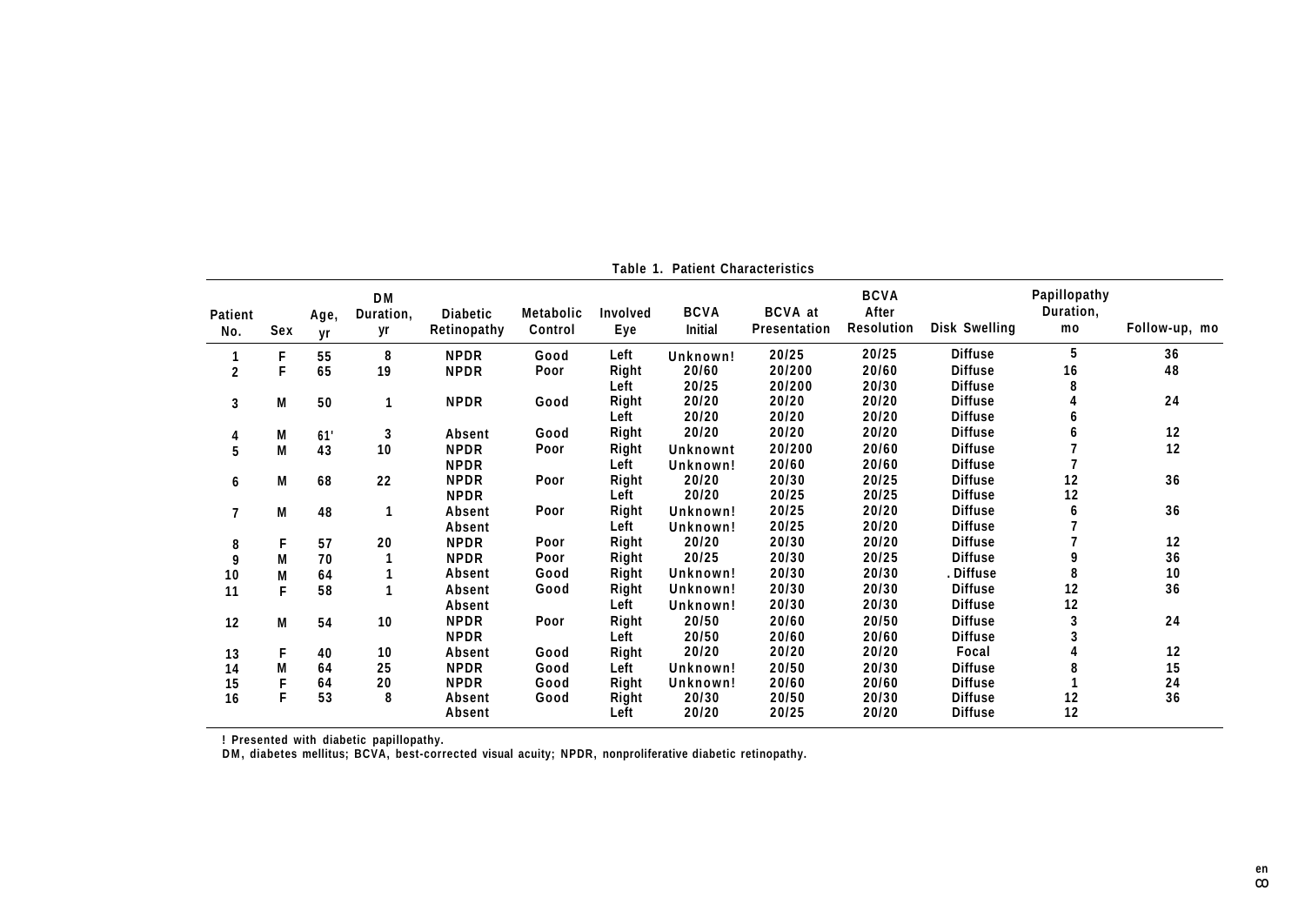| Patient<br>No. | Sex | Age,<br>vr | <b>DM</b><br>Duration,<br>yr | <b>Diabetic</b><br>Retinopathy | <b>Metabolic</b><br>Control | Involved<br>Eye | <b>BCVA</b><br><b>Initial</b> | <b>BCVA</b> at<br><b>Presentation</b> | <b>BCVA</b><br>After<br><b>Resolution</b> | <b>Disk Swelling</b> | Papillopathy<br>Duration,<br>mo | Follow-up, mo |
|----------------|-----|------------|------------------------------|--------------------------------|-----------------------------|-----------------|-------------------------------|---------------------------------------|-------------------------------------------|----------------------|---------------------------------|---------------|
|                | F   | 55         | 8                            | <b>NPDR</b>                    | Good                        | Left            | Unknown!                      | 20/25                                 | 20/25                                     | <b>Diffuse</b>       | 5                               | 36            |
| $\mathbf 2$    | F   | 65         | 19                           | <b>NPDR</b>                    | Poor                        | Right           | 20/60                         | 20/200                                | 20/60                                     | <b>Diffuse</b>       | 16                              | 48            |
|                |     |            |                              |                                |                             | Left            | 20/25                         | 20/200                                | 20/30                                     | <b>Diffuse</b>       |                                 |               |
| 3              | M   | 50         |                              | <b>NPDR</b>                    | Good                        | Right           | 20/20                         | 20/20                                 | 20/20                                     | <b>Diffuse</b>       |                                 | 24            |
|                |     |            |                              |                                |                             | Left            | 20/20                         | 20/20                                 | 20/20                                     | <b>Diffuse</b>       |                                 |               |
| 4              | Μ   | 61'        | 3                            | Absent                         | Good                        | Right           | 20/20                         | 20/20                                 | 20/20                                     | <b>Diffuse</b>       |                                 | 12            |
| 5              | M   | 43         | 10                           | <b>NPDR</b>                    | Poor                        | Right           | Unknownt                      | 20/200                                | 20/60                                     | <b>Diffuse</b>       |                                 | 12            |
|                |     |            |                              | <b>NPDR</b>                    |                             | Left            | Unknown!                      | 20/60                                 | 20/60                                     | <b>Diffuse</b>       |                                 |               |
| 6              | M   | 68         | 22                           | <b>NPDR</b>                    | Poor                        | Right           | 20/20                         | 20/30                                 | 20/25                                     | <b>Diffuse</b>       | 12                              | 36            |
|                |     |            |                              | <b>NPDR</b>                    |                             | Left            | 20/20                         | 20/25                                 | 20/25                                     | <b>Diffuse</b>       | 12                              |               |
| $\overline{7}$ | M   | 48         | 1                            | Absent                         | Poor                        | Right           | Unknown!                      | 20/25                                 | 20/20                                     | <b>Diffuse</b>       | 6                               | 36            |
|                |     |            |                              | Absent                         |                             | Left            | Unknown!                      | 20/25                                 | 20/20                                     | <b>Diffuse</b>       |                                 |               |
| 8              | F   | 57         | 20                           | <b>NPDR</b>                    | Poor                        | Right           | 20/20                         | 20/30                                 | 20/20                                     | <b>Diffuse</b>       |                                 | 12            |
| 9              | M   | 70         |                              | <b>NPDR</b>                    | Poor                        | Right           | 20/25                         | 20/30                                 | 20/25                                     | <b>Diffuse</b>       |                                 | 36            |
| 10             | M   | 64         |                              | Absent                         | Good                        | Right           | Unknown!                      | 20/30                                 | 20/30                                     | . Diffuse            |                                 | 10            |
| 11             | F   | 58         |                              | Absent                         | Good                        | Right           | Unknown!                      | 20/30                                 | 20/30                                     | <b>Diffuse</b>       | 12                              | 36            |
|                |     |            |                              | Absent                         |                             | Left            | Unknown!                      | 20/30                                 | 20/30                                     | <b>Diffuse</b>       | 12                              |               |
| 12             | M   | 54         | 10                           | <b>NPDR</b>                    | Poor                        | Right           | 20/50                         | 20/60                                 | 20/50                                     | <b>Diffuse</b>       | 3                               | 24            |
|                |     |            |                              | <b>NPDR</b>                    |                             | Left            | 20/50                         | 20/60                                 | 20/60                                     | <b>Diffuse</b>       |                                 |               |
| 13             |     | 40         | 10                           | Absent                         | Good                        | Right           | 20/20                         | 20/20                                 | 20/20                                     | Focal                |                                 | 12            |
| 14             | М   | 64         | 25                           | <b>NPDR</b>                    | Good                        | Left            | Unknown!                      | 20/50                                 | 20/30                                     | <b>Diffuse</b>       |                                 | 15            |
| 15             |     | 64         | 20                           | <b>NPDR</b>                    | Good                        | Right           | Unknown!                      | 20/60                                 | 20/60                                     | <b>Diffuse</b>       |                                 | 24            |
| 16             | F   | 53         | 8                            | Absent                         | Good                        | Right           | 20/30                         | 20/50                                 | 20/30                                     | <b>Diffuse</b>       | 12                              | 36            |
|                |     |            |                              | Absent                         |                             | Left            | 20/20                         | 20/25                                 | 20/20                                     | <b>Diffuse</b>       | 12                              |               |

**Table 1. Patient Characteristics** 

! Presented with diabetic papillopathy.<br>DM, diabetes mellitus; BCVA, best-corrected visual acuity; NPDR, nonproliferative diabetic retinopathy.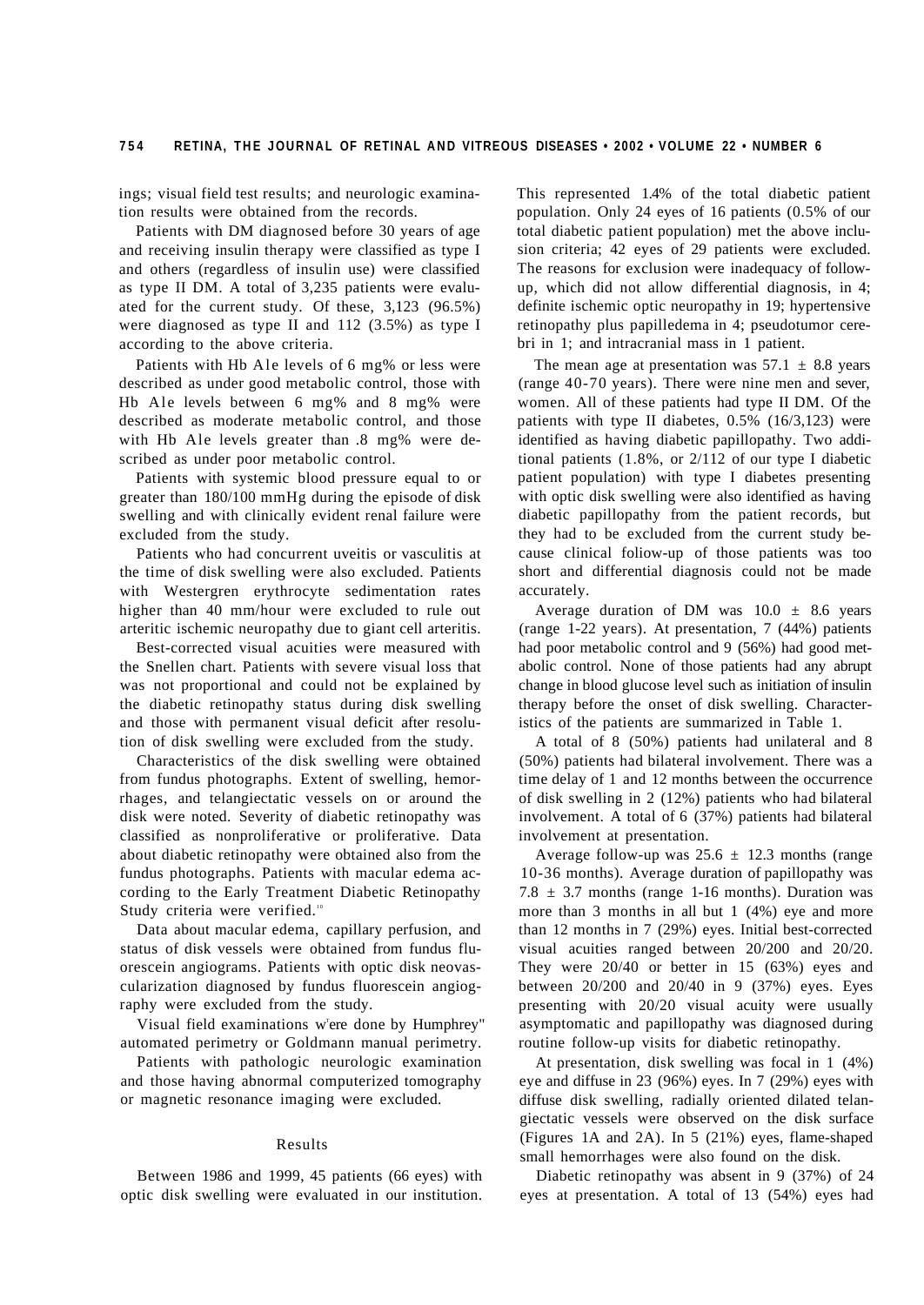ings; visual field test results; and neurologic examination results were obtained from the records.

Patients with DM diagnosed before 30 years of age and receiving insulin therapy were classified as type I and others (regardless of insulin use) were classified as type II DM. A total of 3,235 patients were evaluated for the current study. Of these, 3,123 (96.5%) were diagnosed as type II and 112 (3.5%) as type I according to the above criteria.

Patients with Hb Ale levels of 6 mg% or less were described as under good metabolic control, those with Hb Ale levels between  $6 \text{ mg}$ % and  $8 \text{ mg}$ % were described as moderate metabolic control, and those with Hb Ale levels greater than .8 mg% were described as under poor metabolic control.

Patients with systemic blood pressure equal to or greater than 180/100 mmHg during the episode of disk swelling and with clinically evident renal failure were excluded from the study.

Patients who had concurrent uveitis or vasculitis at the time of disk swelling were also excluded. Patients with Westergren erythrocyte sedimentation rates higher than 40 mm/hour were excluded to rule out arteritic ischemic neuropathy due to giant cell arteritis.

Best-corrected visual acuities were measured with the Snellen chart. Patients with severe visual loss that was not proportional and could not be explained by the diabetic retinopathy status during disk swelling and those with permanent visual deficit after resolution of disk swelling were excluded from the study.

Characteristics of the disk swelling were obtained from fundus photographs. Extent of swelling, hemorrhages, and telangiectatic vessels on or around the disk were noted. Severity of diabetic retinopathy was classified as nonproliferative or proliferative. Data about diabetic retinopathy were obtained also from the fundus photographs. Patients with macular edema according to the Early Treatment Diabetic Retinopathy Study criteria were verified.<sup>10</sup>

Data about macular edema, capillary perfusion, and status of disk vessels were obtained from fundus fluorescein angiograms. Patients with optic disk neovascularization diagnosed by fundus fluorescein angiography were excluded from the study.

Visual field examinations w'ere done by Humphrey" automated perimetry or Goldmann manual perimetry.

Patients with pathologic neurologic examination and those having abnormal computerized tomography or magnetic resonance imaging were excluded.

## Results

Between 1986 and 1999, 45 patients (66 eyes) with optic disk swelling were evaluated in our institution. This represented 1.4% of the total diabetic patient population. Only 24 eyes of 16 patients (0.5% of our total diabetic patient population) met the above inclusion criteria; 42 eyes of 29 patients were excluded. The reasons for exclusion were inadequacy of followup, which did not allow differential diagnosis, in 4; definite ischemic optic neuropathy in 19; hypertensive retinopathy plus papilledema in 4; pseudotumor cerebri in 1; and intracranial mass in 1 patient.

The mean age at presentation was  $57.1 \pm 8.8$  years (range 40-70 years). There were nine men and sever, women. All of these patients had type II DM. Of the patients with type II diabetes, 0.5% (16/3,123) were identified as having diabetic papillopathy. Two additional patients (1.8%, or 2/112 of our type I diabetic patient population) with type I diabetes presenting with optic disk swelling were also identified as having diabetic papillopathy from the patient records, but they had to be excluded from the current study because clinical foliow-up of those patients was too short and differential diagnosis could not be made accurately.

Average duration of DM was  $10.0 \pm 8.6$  years (range 1-22 years). At presentation, 7 (44%) patients had poor metabolic control and 9 (56%) had good metabolic control. None of those patients had any abrupt change in blood glucose level such as initiation of insulin therapy before the onset of disk swelling. Characteristics of the patients are summarized in Table 1.

A total of 8 (50%) patients had unilateral and 8 (50%) patients had bilateral involvement. There was a time delay of 1 and 12 months between the occurrence of disk swelling in 2 (12%) patients who had bilateral involvement. A total of 6 (37%) patients had bilateral involvement at presentation.

Average follow-up was  $25.6 \pm 12.3$  months (range 10-36 months). Average duration of papillopathy was 7.8  $\pm$  3.7 months (range 1-16 months). Duration was more than 3 months in all but 1 (4%) eye and more than 12 months in 7 (29%) eyes. Initial best-corrected visual acuities ranged between 20/200 and 20/20. They were 20/40 or better in 15 (63%) eyes and between 20/200 and 20/40 in 9 (37%) eyes. Eyes presenting with 20/20 visual acuity were usually asymptomatic and papillopathy was diagnosed during routine follow-up visits for diabetic retinopathy.

At presentation, disk swelling was focal in 1 (4%) eye and diffuse in 23 (96%) eyes. In 7 (29%) eyes with diffuse disk swelling, radially oriented dilated telangiectatic vessels were observed on the disk surface (Figures 1A and 2A). In 5 (21%) eyes, flame-shaped small hemorrhages were also found on the disk.

Diabetic retinopathy was absent in 9 (37%) of 24 eyes at presentation. A total of 13 (54%) eyes had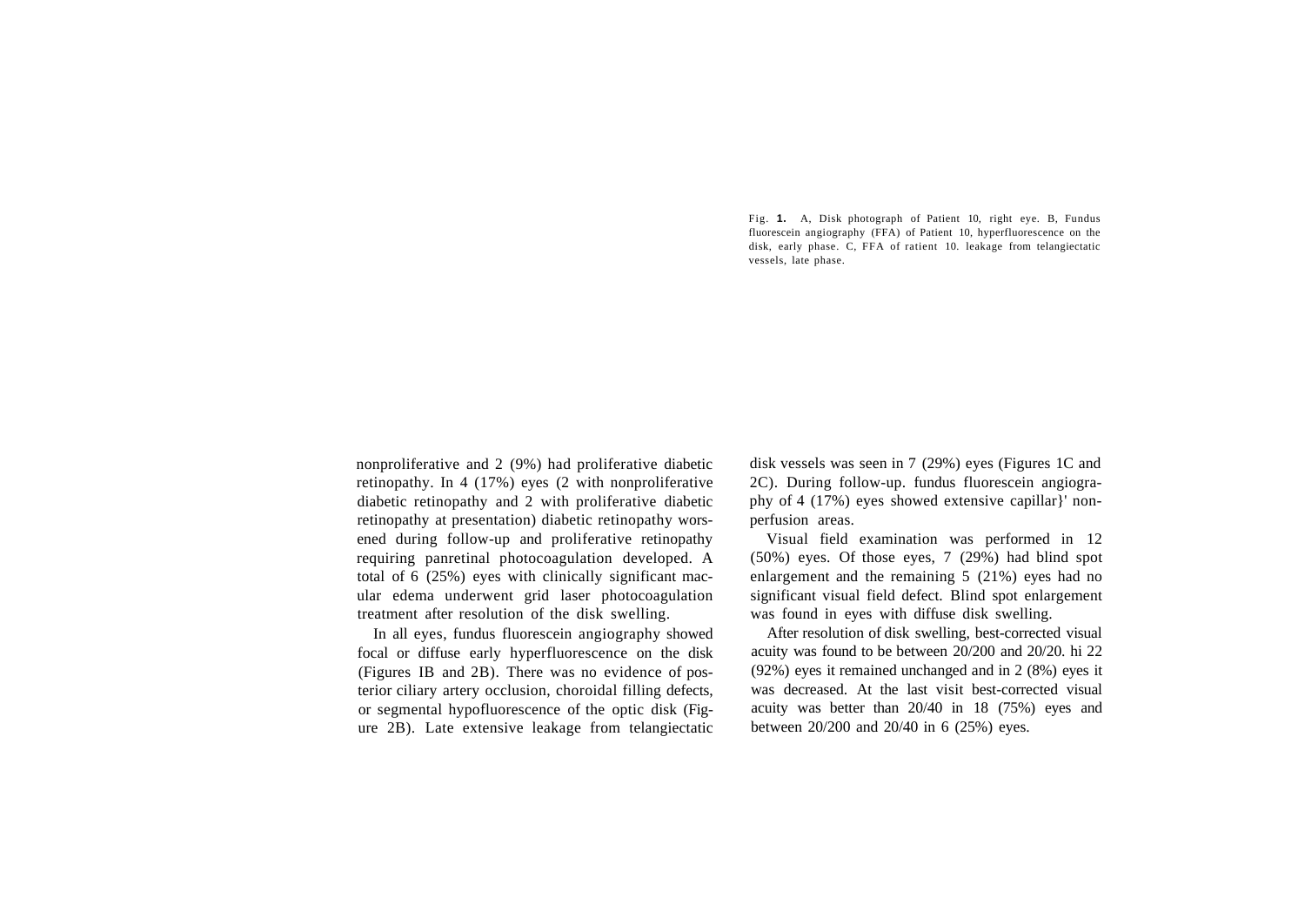Fig. **1.** A, Disk photograph of Patient 10, right eye. B, Fundus fluorescein angiography (FFA) of Patient 10, hyperfluorescence on the disk, early phase. C, FFA of ratient 10. leakage from telangiectatic vessels, late phase.

nonproliferative and 2 (9%) had proliferative diabetic retinopathy. In 4 (17%) eyes (2 with nonproliferative diabetic retinopathy and 2 with proliferative diabetic retinopathy at presentation) diabetic retinopathy worsened during follow-up and proliferative retinopathy requiring panretinal photocoagulation developed. A total of 6 (25%) eyes with clinically significant macular edema underwent grid laser photocoagulation treatment after resolution of the disk swelling.

In all eyes, fundus fluorescein angiography showed focal or diffuse early hyperfluorescence on the disk (Figures IB and 2B). There was no evidence of posterior ciliary artery occlusion, choroidal filling defects, or segmental hypofluorescence of the optic disk (Figure 2B). Late extensive leakage from telangiectatic

disk vessels was seen in 7 (29%) eyes (Figures 1C and 2C). During follow-up. fundus fluorescein angiography of 4 (17%) eyes showed extensive capillar}' nonperfusion areas.

Visual field examination was performed in 12 (50%) eyes. Of those eyes, 7 (29%) had blind spot enlargement and the remaining 5 (21%) eyes had no significant visual field defect. Blind spot enlargement was found in eyes with diffuse disk swelling.

After resolution of disk swelling, best-corrected visual acuity was found to be between 20/200 and 20/20. hi 22 (92%) eyes it remained unchanged and in 2 (8%) eyes it was decreased. At the last visit best-corrected visual acuity was better than 20/40 in 18 (75%) eyes and between 20/200 and 20/40 in 6 (25%) eyes.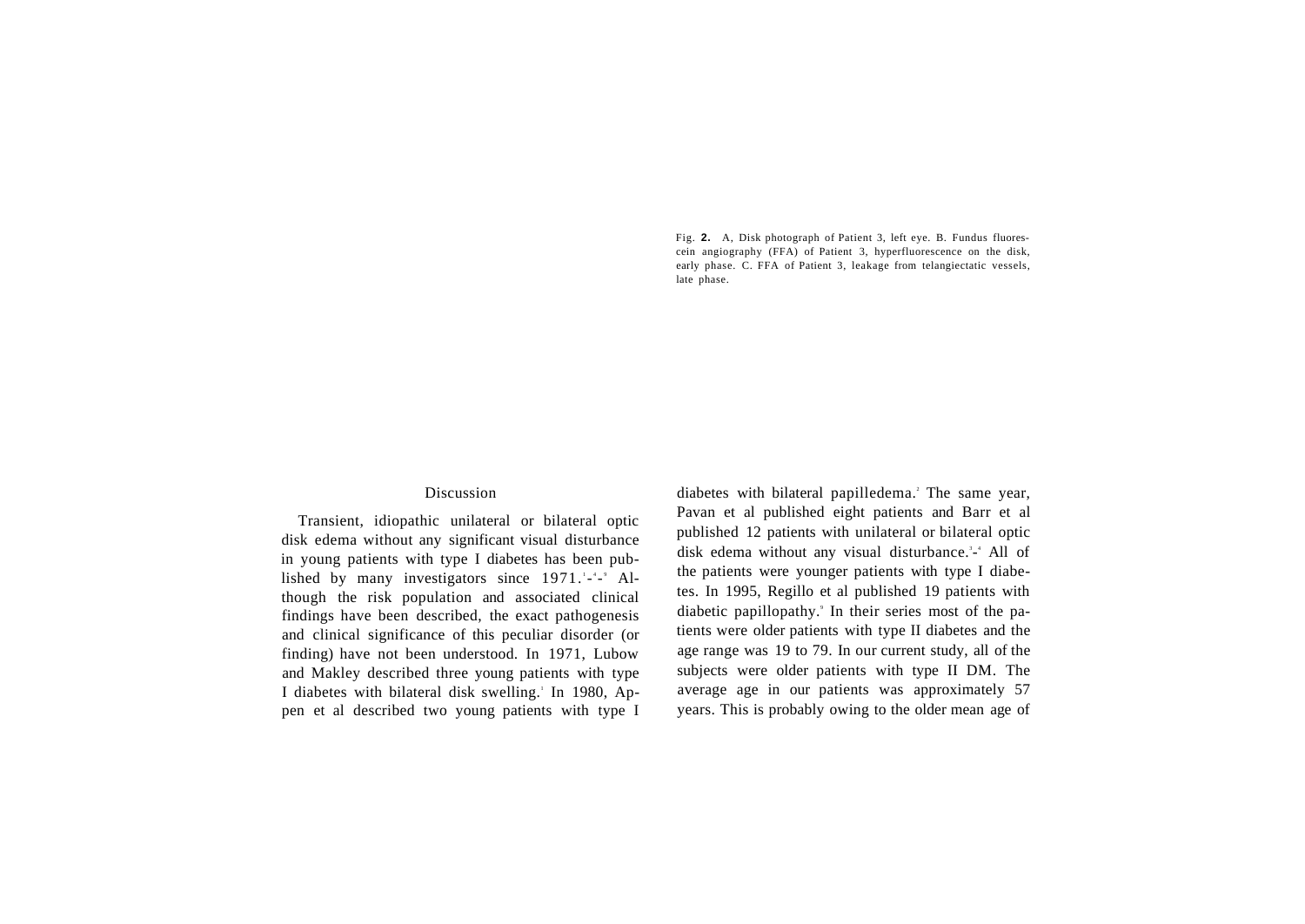Fig. **2.** A, Disk photograph of Patient 3, left eye. B. Fundus fluorescein angiography (FFA) of Patient 3, hyperfluorescence on the disk, early phase. C. FFA of Patient 3, leakage from telangiectatic vessels, late phase.

### Discussion

Transient, idiopathic unilateral or bilateral optic disk edema without any significant visual disturbance in young patients with type I diabetes has been published by many investigators since 1971.<sup>1</sup>-<sup>4</sup>-<sup>9</sup> Although the risk population and associated clinical findings have been described, the exact pathogenesis and clinical significance of this peculiar disorder (or finding) have not been understood. In 1971, Lubow and Makley described three young patients with type I diabetes with bilateral disk swelling.<sup>1</sup> In 1980, Appen et al described two young patients with type I

diabetes with bilateral papilledema.<sup>2</sup> The same year, Pavan et al published eight patients and Barr et al published 12 patients with unilateral or bilateral optic disk edema without any visual disturbance.<sup>3</sup>-4</sup> All of the patients were younger patients with type I diabetes. In 1995, Regillo et al published 19 patients with diabetic papillopathy.<sup>9</sup> In their series most of the patients were older patients with type II diabetes and the age range was 19 to 79. In our current study, all of the subjects were older patients with type II DM. The average age in our patients was approximately 57 years. This is probably owing to the older mean age of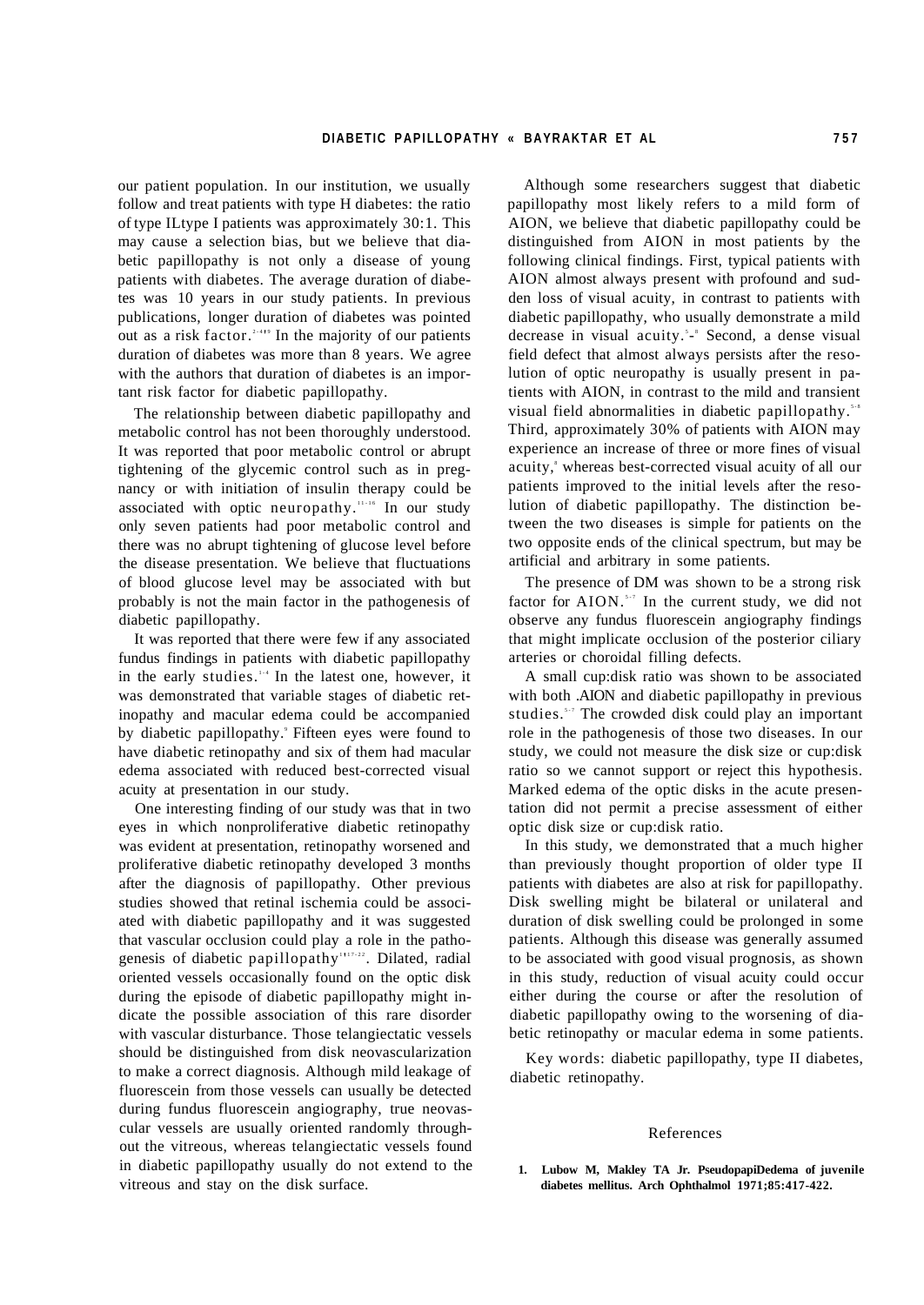our patient population. In our institution, we usually follow and treat patients with type H diabetes: the ratio of type ILtype I patients was approximately 30:1. This may cause a selection bias, but we believe that diabetic papillopathy is not only a disease of young patients with diabetes. The average duration of diabetes was 10 years in our study patients. In previous publications, longer duration of diabetes was pointed out as a risk factor.<sup>2-419</sup> In the majority of our patients duration of diabetes was more than 8 years. We agree with the authors that duration of diabetes is an important risk factor for diabetic papillopathy.

The relationship between diabetic papillopathy and metabolic control has not been thoroughly understood. It was reported that poor metabolic control or abrupt tightening of the glycemic control such as in pregnancy or with initiation of insulin therapy could be associated with optic neuropathy.<sup>11-16</sup> In our study only seven patients had poor metabolic control and there was no abrupt tightening of glucose level before the disease presentation. We believe that fluctuations of blood glucose level may be associated with but probably is not the main factor in the pathogenesis of diabetic papillopathy.

It was reported that there were few if any associated fundus findings in patients with diabetic papillopathy in the early studies.<sup>114</sup> In the latest one, however, it was demonstrated that variable stages of diabetic retinopathy and macular edema could be accompanied by diabetic papillopathy.' Fifteen eyes were found to have diabetic retinopathy and six of them had macular edema associated with reduced best-corrected visual acuity at presentation in our study.

One interesting finding of our study was that in two eyes in which nonproliferative diabetic retinopathy was evident at presentation, retinopathy worsened and proliferative diabetic retinopathy developed 3 months after the diagnosis of papillopathy. Other previous studies showed that retinal ischemia could be associated with diabetic papillopathy and it was suggested that vascular occlusion could play a role in the pathogenesis of diabetic papillopathy<sup>1117-22</sup>. Dilated, radial oriented vessels occasionally found on the optic disk during the episode of diabetic papillopathy might indicate the possible association of this rare disorder with vascular disturbance. Those telangiectatic vessels should be distinguished from disk neovascularization to make a correct diagnosis. Although mild leakage of fluorescein from those vessels can usually be detected during fundus fluorescein angiography, true neovascular vessels are usually oriented randomly throughout the vitreous, whereas telangiectatic vessels found in diabetic papillopathy usually do not extend to the vitreous and stay on the disk surface.

Although some researchers suggest that diabetic papillopathy most likely refers to a mild form of AION, we believe that diabetic papillopathy could be distinguished from AION in most patients by the following clinical findings. First, typical patients with AION almost always present with profound and sudden loss of visual acuity, in contrast to patients with diabetic papillopathy, who usually demonstrate a mild decrease in visual acuity.<sup>5</sup>-<sup>8</sup> Second, a dense visual field defect that almost always persists after the resolution of optic neuropathy is usually present in patients with AION, in contrast to the mild and transient visual field abnormalities in diabetic papillopathy.<sup>5,8</sup> Third, approximately 30% of patients with AION may experience an increase of three or more fines of visual acuity,<sup>8</sup> whereas best-corrected visual acuity of all our patients improved to the initial levels after the resolution of diabetic papillopathy. The distinction between the two diseases is simple for patients on the two opposite ends of the clinical spectrum, but may be artificial and arbitrary in some patients.

The presence of DM was shown to be a strong risk factor for  $AION$ .<sup>5,7</sup> In the current study, we did not observe any fundus fluorescein angiography findings that might implicate occlusion of the posterior ciliary arteries or choroidal filling defects.

A small cup:disk ratio was shown to be associated with both .AION and diabetic papillopathy in previous studies.<sup>57</sup> The crowded disk could play an important role in the pathogenesis of those two diseases. In our study, we could not measure the disk size or cup:disk ratio so we cannot support or reject this hypothesis. Marked edema of the optic disks in the acute presentation did not permit a precise assessment of either optic disk size or cup:disk ratio.

In this study, we demonstrated that a much higher than previously thought proportion of older type II patients with diabetes are also at risk for papillopathy. Disk swelling might be bilateral or unilateral and duration of disk swelling could be prolonged in some patients. Although this disease was generally assumed to be associated with good visual prognosis, as shown in this study, reduction of visual acuity could occur either during the course or after the resolution of diabetic papillopathy owing to the worsening of diabetic retinopathy or macular edema in some patients.

Key words: diabetic papillopathy, type II diabetes, diabetic retinopathy.

#### References

**1. Lubow M, Makley TA Jr. PseudopapiDedema of juvenile diabetes mellitus. Arch Ophthalmol 1971;85:417-422.**